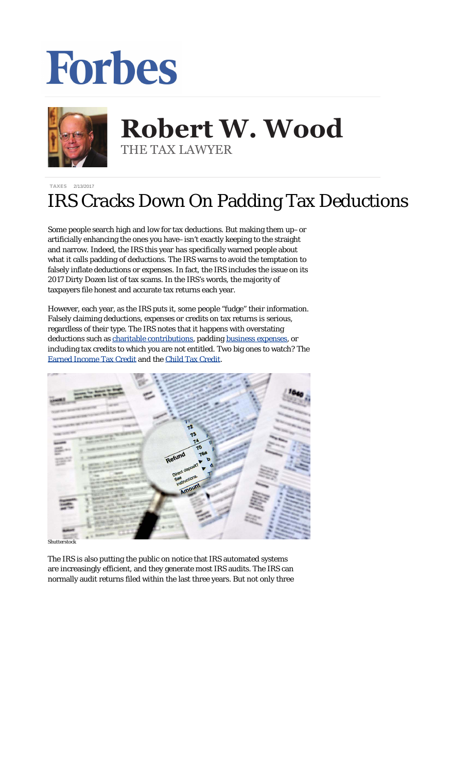## **Forbes**



## **Robert W. Wood Robert W. Wood** THE TAX LAWYER THE TAX LAWYER

[TAXES](http://www.forbes.com/taxes) 2/13/2017

## IRS Cracks Down On Padding Tax Deductions

Some people search high and low for tax deductions. But making them up–or artificially enhancing the ones you have–isn't exactly keeping to the straight and narrow. Indeed, the IRS this year has specifically warned people about what it calls padding of deductions. The IRS warns to avoid the temptation to falsely inflate deductions or expenses. In fact, the IRS includes the issue on its 2017 Dirty Dozen list of tax scams. In the IRS's words, the majority of taxpayers file honest and accurate tax returns each year.

However, each year, as the IRS puts it, some people "fudge" their information. Falsely claiming deductions, expenses or credits on tax returns is serious, regardless of their type. The IRS notes that it happens with overstating deductions such as [charitable contributions,](https://www.irs.gov/uac/about-publication-526) padding [business expenses](https://www.irs.gov/businesses/small-businesses-self-employed/deducting-business-expenses), or including tax credits to which you are not entitled. Two big ones to watch? The [Earned Income Tax Credit](https://www.irs.gov/Credits-%26-Deductions/Individuals/Earned-Income-Tax-Credit) and the [Child Tax Credit.](https://www.irs.gov/uac/about-publication-972)



*Shutte* 

The IRS is also putting the public on notice that IRS automated systems are increasingly efficient, and they generate most IRS audits. The IRS can normally audit returns filed within the last three years. But not only three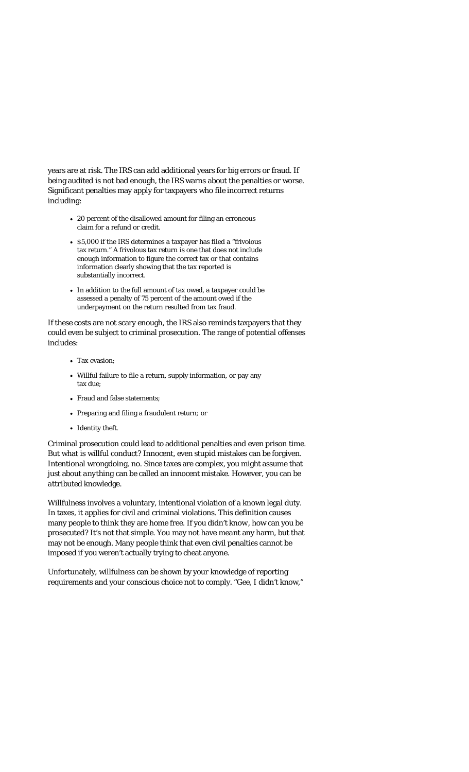years are at risk. The IRS can add additional years for big errors or fraud. If being audited is not bad enough, the IRS warns about the penalties or worse. Significant penalties may apply for taxpayers who file incorrect returns including:

- 20 percent of the disallowed amount for filing an erroneous claim for a refund or credit.
- \$5,000 if the IRS determines a taxpayer has filed a "frivolous" tax return." A frivolous tax return is one that does not include enough information to figure the correct tax or that contains information clearly showing that the tax reported is substantially incorrect.
- In addition to the full amount of tax owed, a taxpayer could be assessed a penalty of 75 percent of the amount owed if the underpayment on the return resulted from tax fraud.

If these costs are not scary enough, the IRS also reminds taxpayers that they could even be subject to criminal prosecution. The range of potential offenses includes:

- Tax evasion;
- Willful failure to file a return, supply information, or pay any tax due;
- Fraud and false statements;
- Preparing and filing a fraudulent return; or
- Identity theft.

Criminal prosecution could lead to additional penalties and even prison time. But what is willful conduct? Innocent, even *stupid* mistakes can be forgiven. Intentional wrongdoing, no. Since taxes are complex, you might assume that just about *anything* can be called an innocent mistake. However, you can be *attributed* knowledge.

Willfulness involves a voluntary, intentional violation of a known legal duty. In taxes, it applies for civil and criminal violations. This definition causes many people to think they are home free. If you didn't *know*, how can you be prosecuted? It's not that simple. You may not have *meant* any harm, but that may not be enough. Many people think that even civil penalties cannot be imposed if you weren't actually trying to cheat anyone.

Unfortunately, willfulness can be shown by your knowledge of reporting requirements and your conscious choice not to comply. "Gee, I didn't know,"